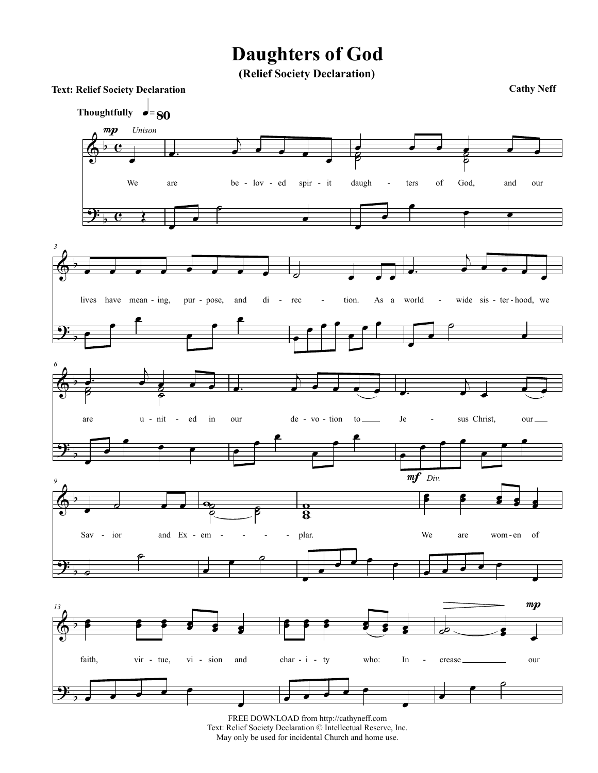## **Daughters of God**

(Relief Society Declaration)



FREE DOWNLOAD from http://cathyneff.com Text: Relief Society Declaration © Intellectual Reserve, Inc. May only be used for incidental Church and home use.